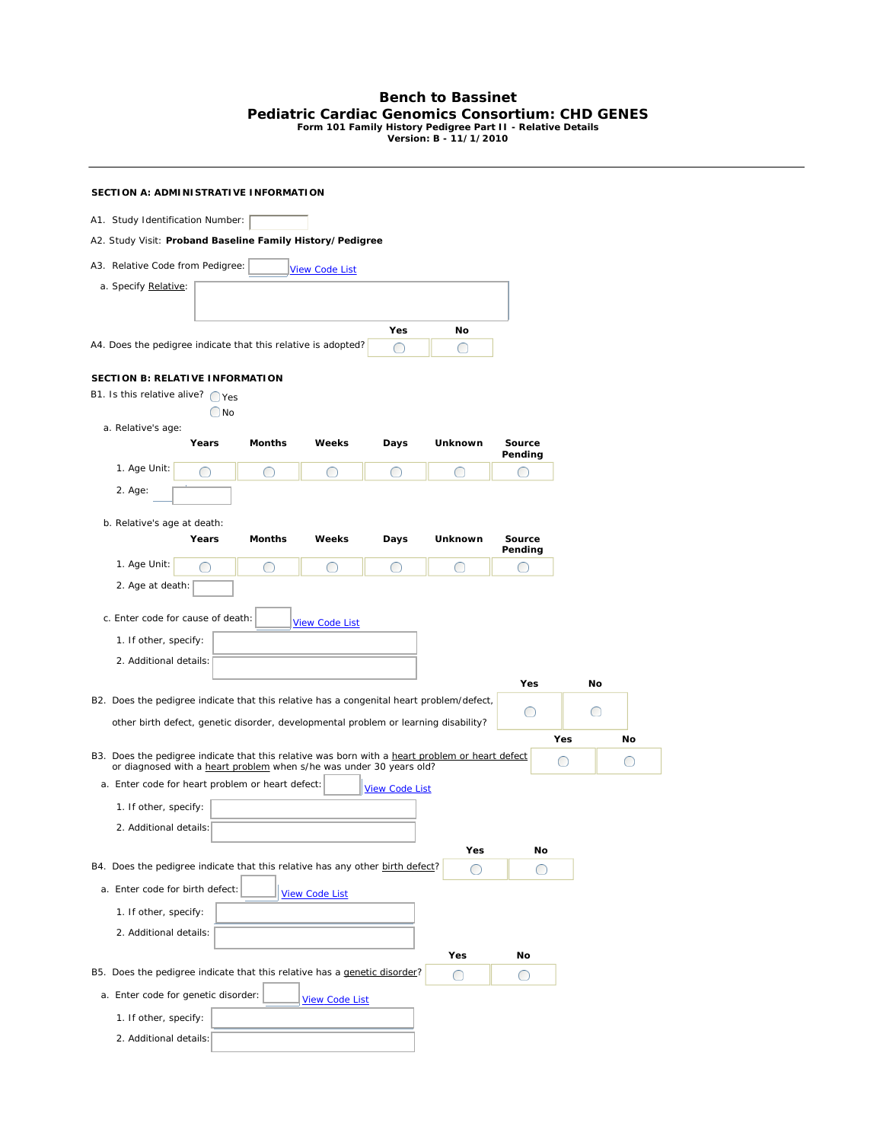## **Bench to Bassinet Pediatric Cardiac Genomics Consortium: CHD GENES Form 101 Family History Pedigree Part II - Relative Details Version: B - 11/1/2010**

| SECTION A: ADMINISTRATIVE INFORMATION                                                           |               |               |                                                                                     |                       |                |                                               |                                               |                                               |
|-------------------------------------------------------------------------------------------------|---------------|---------------|-------------------------------------------------------------------------------------|-----------------------|----------------|-----------------------------------------------|-----------------------------------------------|-----------------------------------------------|
| A1. Study Identification Number:                                                                |               |               |                                                                                     |                       |                |                                               |                                               |                                               |
| A2. Study Visit: Proband Baseline Family History/Pedigree                                       |               |               |                                                                                     |                       |                |                                               |                                               |                                               |
| A3. Relative Code from Pedigree:                                                                |               |               | <b>View Code List</b>                                                               |                       |                |                                               |                                               |                                               |
| a. Specify Relative:                                                                            |               |               |                                                                                     |                       |                |                                               |                                               |                                               |
|                                                                                                 |               |               |                                                                                     |                       |                |                                               |                                               |                                               |
|                                                                                                 |               |               |                                                                                     | Yes                   | No             |                                               |                                               |                                               |
| A4. Does the pedigree indicate that this relative is adopted?                                   |               |               |                                                                                     | ∩                     | ∩              |                                               |                                               |                                               |
| <b>SECTION B: RELATIVE INFORMATION</b>                                                          |               |               |                                                                                     |                       |                |                                               |                                               |                                               |
| B1. Is this relative alive? ○ Yes                                                               |               |               |                                                                                     |                       |                |                                               |                                               |                                               |
| a. Relative's age:                                                                              | $\bigcirc$ No |               |                                                                                     |                       |                |                                               |                                               |                                               |
|                                                                                                 | Years         | <b>Months</b> | Weeks                                                                               | Days                  | <b>Unknown</b> | Source<br>Pending                             |                                               |                                               |
| 1. Age Unit:                                                                                    | $\bigcirc$    | ◯             | ◯                                                                                   | $\bigcirc$            | ◯              | $\bigcirc$                                    |                                               |                                               |
| 2. Age:                                                                                         |               |               |                                                                                     |                       |                |                                               |                                               |                                               |
| b. Relative's age at death:                                                                     |               |               |                                                                                     |                       |                |                                               |                                               |                                               |
|                                                                                                 | Years         | <b>Months</b> | Weeks                                                                               | Days                  | <b>Unknown</b> | Source                                        |                                               |                                               |
| 1. Age Unit:                                                                                    | ◯             | ◯             | ∩                                                                                   | ◯                     | ∩              | Pending<br>$\bigcirc$                         |                                               |                                               |
| 2. Age at death:                                                                                |               |               |                                                                                     |                       |                |                                               |                                               |                                               |
|                                                                                                 |               |               |                                                                                     |                       |                |                                               |                                               |                                               |
| c. Enter code for cause of death:                                                               |               |               | <b>View Code List</b>                                                               |                       |                |                                               |                                               |                                               |
| 1. If other, specify:<br>2. Additional details:                                                 |               |               |                                                                                     |                       |                |                                               |                                               |                                               |
|                                                                                                 |               |               |                                                                                     |                       |                | Yes                                           | No                                            |                                               |
| B2. Does the pedigree indicate that this relative has a congenital heart problem/defect,        |               |               |                                                                                     |                       |                |                                               |                                               |                                               |
|                                                                                                 |               |               | other birth defect, genetic disorder, developmental problem or learning disability? |                       |                | ◯                                             | O                                             |                                               |
|                                                                                                 |               |               |                                                                                     |                       |                |                                               | Yes                                           | No                                            |
| B3. Does the pedigree indicate that this relative was born with a heart problem or heart defect |               |               | or diagnosed with a heart problem when s/he was under 30 years old?                 |                       |                |                                               | $\left( \begin{array}{c} \end{array} \right)$ | $\left( \begin{array}{c} \end{array} \right)$ |
| a. Enter code for heart problem or heart defect:                                                |               |               |                                                                                     | <b>View Code List</b> |                |                                               |                                               |                                               |
| 1. If other, specify:                                                                           |               |               |                                                                                     |                       |                |                                               |                                               |                                               |
| 2. Additional details:                                                                          |               |               |                                                                                     |                       |                |                                               |                                               |                                               |
| B4. Does the pedigree indicate that this relative has any other birth defect?                   |               |               |                                                                                     |                       | Yes            | No                                            |                                               |                                               |
| a. Enter code for birth defect:                                                                 |               |               |                                                                                     |                       | $\bigcirc$     | $\left( \begin{array}{c} \end{array} \right)$ |                                               |                                               |
| 1. If other, specify:                                                                           |               |               | <b>View Code List</b>                                                               |                       |                |                                               |                                               |                                               |
| 2. Additional details:                                                                          |               |               |                                                                                     |                       |                |                                               |                                               |                                               |
|                                                                                                 |               |               |                                                                                     |                       | Yes            | No                                            |                                               |                                               |
| B5. Does the pedigree indicate that this relative has a genetic disorder?                       |               |               |                                                                                     |                       | O              | $\bigcirc$                                    |                                               |                                               |
| a. Enter code for genetic disorder:                                                             |               |               | <b>View Code List</b>                                                               |                       |                |                                               |                                               |                                               |
| 1. If other, specify:                                                                           |               |               |                                                                                     |                       |                |                                               |                                               |                                               |
| 2. Additional details:                                                                          |               |               |                                                                                     |                       |                |                                               |                                               |                                               |